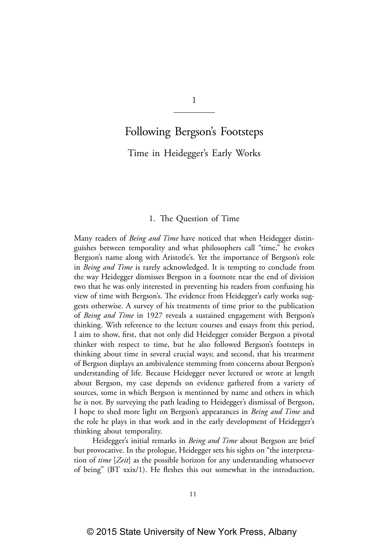# Following Bergson's Footsteps

1

Time in Heidegger's Early Works

### 1. The Question of Time

Many readers of *Being and Time* have noticed that when Heidegger distinguishes between temporality and what philosophers call "time," he evokes Bergson's name along with Aristotle's. Yet the importance of Bergson's role in *Being and Time* is rarely acknowledged. It is tempting to conclude from the way Heidegger dismisses Bergson in a footnote near the end of division two that he was only interested in preventing his readers from confusing his view of time with Bergson's. The evidence from Heidegger's early works suggests otherwise. A survey of his treatments of time prior to the publication of *Being and Time* in 1927 reveals a sustained engagement with Bergson's thinking. With reference to the lecture courses and essays from this period, I aim to show, first, that not only did Heidegger consider Bergson a pivotal thinker with respect to time, but he also followed Bergson's footsteps in thinking about time in several crucial ways; and second, that his treatment of Bergson displays an ambivalence stemming from concerns about Bergson's understanding of life. Because Heidegger never lectured or wrote at length about Bergson, my case depends on evidence gathered from a variety of sources, some in which Bergson is mentioned by name and others in which he is not. By surveying the path leading to Heidegger's dismissal of Bergson, I hope to shed more light on Bergson's appearances in *Being and Time* and the role he plays in that work and in the early development of Heidegger's thinking about temporality.

Heidegger's initial remarks in *Being and Time* about Bergson are brief but provocative. In the prologue, Heidegger sets his sights on "the interpretation of *time* [*Zeit*] as the possible horizon for any understanding whatsoever of being" (BT xxix/1). He fleshes this out somewhat in the introduction,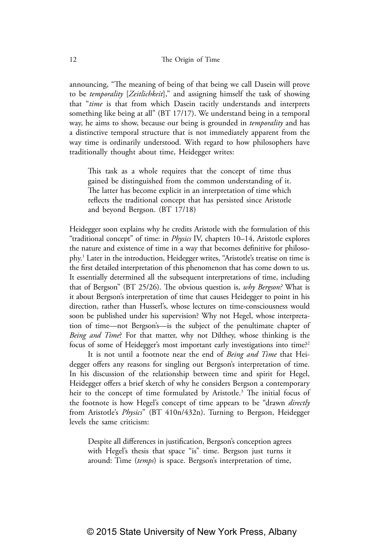announcing, "The meaning of being of that being we call Dasein will prove to be *temporality* [*Zeitlichkeit*]," and assigning himself the task of showing that "*time* is that from which Dasein tacitly understands and interprets something like being at all" (BT 17/17). We understand being in a temporal way, he aims to show, because our being is grounded in *temporality* and has a distinctive temporal structure that is not immediately apparent from the way time is ordinarily understood. With regard to how philosophers have traditionally thought about time, Heidegger writes:

This task as a whole requires that the concept of time thus gained be distinguished from the common understanding of it. The latter has become explicit in an interpretation of time which reflects the traditional concept that has persisted since Aristotle and beyond Bergson. (BT 17/18)

Heidegger soon explains why he credits Aristotle with the formulation of this "traditional concept" of time: in *Physics* IV, chapters 10–14, Aristotle explores the nature and existence of time in a way that becomes definitive for philosophy.1 Later in the introduction, Heidegger writes, "Aristotle's treatise on time is the first detailed interpretation of this phenomenon that has come down to us. It essentially determined all the subsequent interpretations of time, including that of Bergson" (BT 25/26). The obvious question is, *why Bergson?* What is it about Bergson's interpretation of time that causes Heidegger to point in his direction, rather than Husserl's, whose lectures on time-consciousness would soon be published under his supervision? Why not Hegel, whose interpretation of time—not Bergson's—is the subject of the penultimate chapter of *Being and Time*? For that matter, why not Dilthey, whose thinking is the focus of some of Heidegger's most important early investigations into time?<sup>2</sup>

It is not until a footnote near the end of *Being and Time* that Heidegger offers any reasons for singling out Bergson's interpretation of time. In his discussion of the relationship between time and spirit for Hegel, Heidegger offers a brief sketch of why he considers Bergson a contemporary heir to the concept of time formulated by Aristotle.<sup>3</sup> The initial focus of the footnote is how Hegel's concept of time appears to be "drawn *directly* from Aristotle's *Physics*" (BT 410n/432n). Turning to Bergson, Heidegger levels the same criticism:

Despite all differences in justification, Bergson's conception agrees with Hegel's thesis that space "is" time. Bergson just turns it around: Time (*temps*) is space. Bergson's interpretation of time,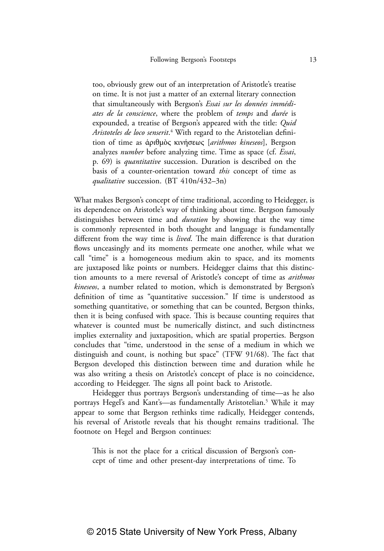too, obviously grew out of an interpretation of Aristotle's treatise on time. It is not just a matter of an external literary connection that simultaneously with Bergson's *Essai sur les données immédiates de la conscience*, where the problem of *temps* and *durée* is expounded, a treatise of Bergson's appeared with the title: *Quid*  Aristoteles de loco senserit.<sup>4</sup> With regard to the Aristotelian definition of time as άριθμòς κινήσεως [*arithmos kineseos*], Bergson analyzes *number* before analyzing time. Time as space (cf. *Essai*, p. 69) is *quantitative* succession. Duration is described on the basis of a counter-orientation toward *this* concept of time as *qualitative* succession. (BT 410n/432–3n)

What makes Bergson's concept of time traditional, according to Heidegger, is its dependence on Aristotle's way of thinking about time. Bergson famously distinguishes between time and *duration* by showing that the way time is commonly represented in both thought and language is fundamentally different from the way time is *lived*. The main difference is that duration flows unceasingly and its moments permeate one another, while what we call "time" is a homogeneous medium akin to space, and its moments are juxtaposed like points or numbers. Heidegger claims that this distinction amounts to a mere reversal of Aristotle's concept of time as *arithmos kineseos*, a number related to motion, which is demonstrated by Bergson's definition of time as "quantitative succession." If time is understood as something quantitative, or something that can be counted, Bergson thinks, then it is being confused with space. This is because counting requires that whatever is counted must be numerically distinct, and such distinctness implies externality and juxtaposition, which are spatial properties. Bergson concludes that "time, understood in the sense of a medium in which we distinguish and count, is nothing but space" (TFW 91/68). The fact that Bergson developed this distinction between time and duration while he was also writing a thesis on Aristotle's concept of place is no coincidence, according to Heidegger. The signs all point back to Aristotle.

Heidegger thus portrays Bergson's understanding of time—as he also portrays Hegel's and Kant's—as fundamentally Aristotelian.5 While it may appear to some that Bergson rethinks time radically, Heidegger contends, his reversal of Aristotle reveals that his thought remains traditional. The footnote on Hegel and Bergson continues:

This is not the place for a critical discussion of Bergson's concept of time and other present-day interpretations of time. To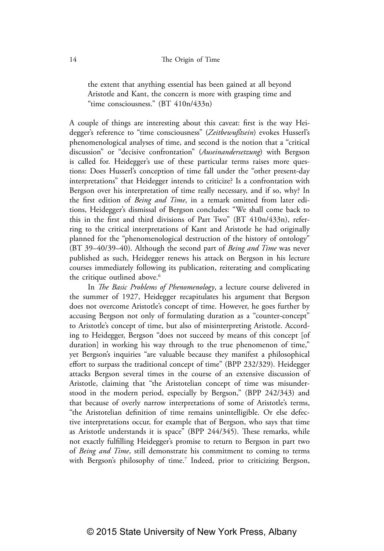the extent that anything essential has been gained at all beyond Aristotle and Kant, the concern is more with grasping time and "time consciousness." (BT 410n/433n)

A couple of things are interesting about this caveat: first is the way Heidegger's reference to "time consciousness" (*Zeitbewußtsein*) evokes Husserl's phenomenological analyses of time, and second is the notion that a "critical discussion" or "decisive confrontation" (*Auseinandersetzung*) with Bergson is called for. Heidegger's use of these particular terms raises more questions: Does Husserl's conception of time fall under the "other present-day interpretations" that Heidegger intends to criticize? Is a confrontation with Bergson over his interpretation of time really necessary, and if so, why? In the first edition of *Being and Time*, in a remark omitted from later editions, Heidegger's dismissal of Bergson concludes: "We shall come back to this in the first and third divisions of Part Two" (BT 410n/433n), referring to the critical interpretations of Kant and Aristotle he had originally planned for the "phenomenological destruction of the history of ontology" (BT 39–40/39–40). Although the second part of *Being and Time* was never published as such, Heidegger renews his attack on Bergson in his lecture courses immediately following its publication, reiterating and complicating the critique outlined above.<sup>6</sup>

In *The Basic Problems of Phenomenology*, a lecture course delivered in the summer of 1927, Heidegger recapitulates his argument that Bergson does not overcome Aristotle's concept of time. However, he goes further by accusing Bergson not only of formulating duration as a "counter-concept" to Aristotle's concept of time, but also of misinterpreting Aristotle. According to Heidegger, Bergson "does not succeed by means of this concept [of duration] in working his way through to the true phenomenon of time," yet Bergson's inquiries "are valuable because they manifest a philosophical effort to surpass the traditional concept of time" (BPP 232/329). Heidegger attacks Bergson several times in the course of an extensive discussion of Aristotle, claiming that "the Aristotelian concept of time was misunderstood in the modern period, especially by Bergson," (BPP 242/343) and that because of overly narrow interpretations of some of Aristotle's terms, "the Aristotelian definition of time remains unintelligible. Or else defective interpretations occur, for example that of Bergson, who says that time as Aristotle understands it is space" (BPP 244/345). These remarks, while not exactly fulfilling Heidegger's promise to return to Bergson in part two of *Being and Time*, still demonstrate his commitment to coming to terms with Bergson's philosophy of time.7 Indeed, prior to criticizing Bergson,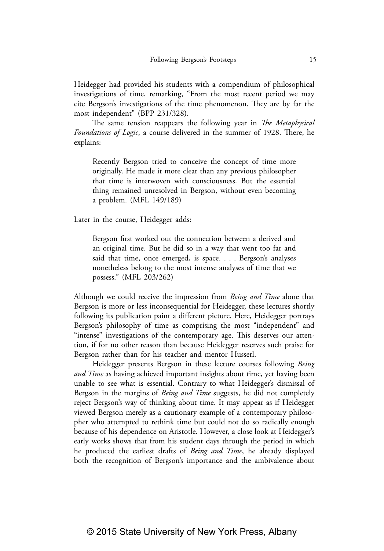Heidegger had provided his students with a compendium of philosophical investigations of time, remarking, "From the most recent period we may cite Bergson's investigations of the time phenomenon. They are by far the most independent" (BPP 231/328).

The same tension reappears the following year in *The Metaphysical Foundations of Logic*, a course delivered in the summer of 1928. There, he explains:

Recently Bergson tried to conceive the concept of time more originally. He made it more clear than any previous philosopher that time is interwoven with consciousness. But the essential thing remained unresolved in Bergson, without even becoming a problem. (MFL 149/189)

Later in the course, Heidegger adds:

Bergson first worked out the connection between a derived and an original time. But he did so in a way that went too far and said that time, once emerged, is space. . . . Bergson's analyses nonetheless belong to the most intense analyses of time that we possess." (MFL 203/262)

Although we could receive the impression from *Being and Time* alone that Bergson is more or less inconsequential for Heidegger, these lectures shortly following its publication paint a different picture. Here, Heidegger portrays Bergson's philosophy of time as comprising the most "independent" and "intense" investigations of the contemporary age. This deserves our attention, if for no other reason than because Heidegger reserves such praise for Bergson rather than for his teacher and mentor Husserl.

Heidegger presents Bergson in these lecture courses following *Being and Time* as having achieved important insights about time, yet having been unable to see what is essential. Contrary to what Heidegger's dismissal of Bergson in the margins of *Being and Time* suggests, he did not completely reject Bergson's way of thinking about time. It may appear as if Heidegger viewed Bergson merely as a cautionary example of a contemporary philosopher who attempted to rethink time but could not do so radically enough because of his dependence on Aristotle. However, a close look at Heidegger's early works shows that from his student days through the period in which he produced the earliest drafts of *Being and Time*, he already displayed both the recognition of Bergson's importance and the ambivalence about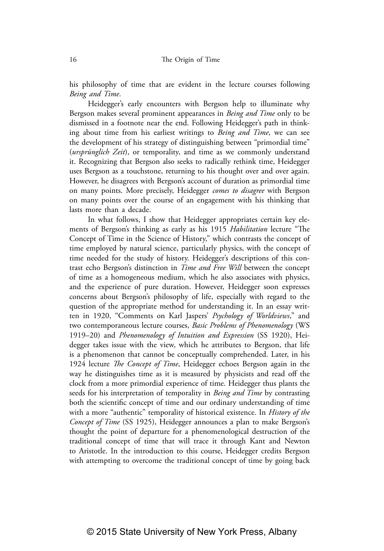his philosophy of time that are evident in the lecture courses following *Being and Time*.

Heidegger's early encounters with Bergson help to illuminate why Bergson makes several prominent appearances in *Being and Time* only to be dismissed in a footnote near the end. Following Heidegger's path in thinking about time from his earliest writings to *Being and Time*, we can see the development of his strategy of distinguishing between "primordial time" (*ursprünglich Zeit*), or temporality, and time as we commonly understand it. Recognizing that Bergson also seeks to radically rethink time, Heidegger uses Bergson as a touchstone, returning to his thought over and over again. However, he disagrees with Bergson's account of duration as primordial time on many points. More precisely, Heidegger *comes to disagree* with Bergson on many points over the course of an engagement with his thinking that lasts more than a decade.

In what follows, I show that Heidegger appropriates certain key elements of Bergson's thinking as early as his 1915 *Habilitation* lecture "The Concept of Time in the Science of History," which contrasts the concept of time employed by natural science, particularly physics, with the concept of time needed for the study of history. Heidegger's descriptions of this contrast echo Bergson's distinction in *Time and Free Will* between the concept of time as a homogeneous medium, which he also associates with physics, and the experience of pure duration. However, Heidegger soon expresses concerns about Bergson's philosophy of life, especially with regard to the question of the appropriate method for understanding it. In an essay written in 1920, "Comments on Karl Jaspers' *Psychology of Worldviews*," and two contemporaneous lecture courses, *Basic Problems of Phenomenology* (WS 1919–20) and *Phenomenology of Intuition and Expression* (SS 1920), Heidegger takes issue with the view, which he attributes to Bergson, that life is a phenomenon that cannot be conceptually comprehended. Later, in his 1924 lecture *The Concept of Time*, Heidegger echoes Bergson again in the way he distinguishes time as it is measured by physicists and read off the clock from a more primordial experience of time. Heidegger thus plants the seeds for his interpretation of temporality in *Being and Time* by contrasting both the scientific concept of time and our ordinary understanding of time with a more "authentic" temporality of historical existence. In *History of the Concept of Time* (SS 1925), Heidegger announces a plan to make Bergson's thought the point of departure for a phenomenological destruction of the traditional concept of time that will trace it through Kant and Newton to Aristotle. In the introduction to this course, Heidegger credits Bergson with attempting to overcome the traditional concept of time by going back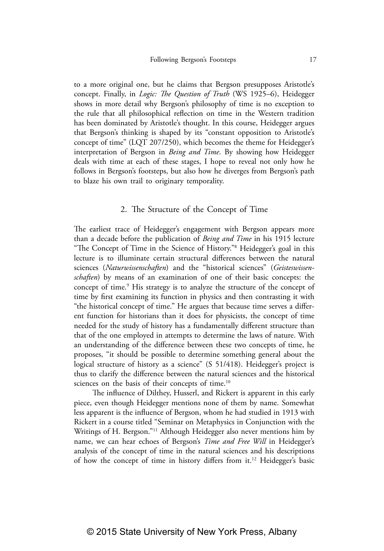to a more original one, but he claims that Bergson presupposes Aristotle's concept. Finally, in *Logic: The Question of Truth* (WS 1925–6), Heidegger shows in more detail why Bergson's philosophy of time is no exception to the rule that all philosophical reflection on time in the Western tradition has been dominated by Aristotle's thought. In this course, Heidegger argues that Bergson's thinking is shaped by its "constant opposition to Aristotle's concept of time" (LQT 207/250), which becomes the theme for Heidegger's interpretation of Bergson in *Being and Time*. By showing how Heidegger deals with time at each of these stages, I hope to reveal not only how he follows in Bergson's footsteps, but also how he diverges from Bergson's path to blaze his own trail to originary temporality.

#### 2. The Structure of the Concept of Time

The earliest trace of Heidegger's engagement with Bergson appears more than a decade before the publication of *Being and Time* in his 1915 lecture "The Concept of Time in the Science of History."8 Heidegger's goal in this lecture is to illuminate certain structural differences between the natural sciences (*Naturwissenschaften*) and the "historical sciences" (*Geisteswissenschaften*) by means of an examination of one of their basic concepts: the concept of time.<sup>9</sup> His strategy is to analyze the structure of the concept of time by first examining its function in physics and then contrasting it with "the historical concept of time." He argues that because time serves a different function for historians than it does for physicists, the concept of time needed for the study of history has a fundamentally different structure than that of the one employed in attempts to determine the laws of nature. With an understanding of the difference between these two concepts of time, he proposes, "it should be possible to determine something general about the logical structure of history as a science" (S 51/418). Heidegger's project is thus to clarify the difference between the natural sciences and the historical sciences on the basis of their concepts of time.<sup>10</sup>

The influence of Dilthey, Husserl, and Rickert is apparent in this early piece, even though Heidegger mentions none of them by name. Somewhat less apparent is the influence of Bergson, whom he had studied in 1913 with Rickert in a course titled "Seminar on Metaphysics in Conjunction with the Writings of H. Bergson."<sup>11</sup> Although Heidegger also never mentions him by name, we can hear echoes of Bergson's *Time and Free Will* in Heidegger's analysis of the concept of time in the natural sciences and his descriptions of how the concept of time in history differs from it.12 Heidegger's basic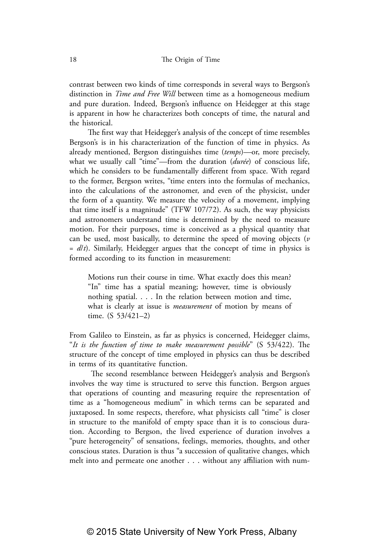contrast between two kinds of time corresponds in several ways to Bergson's distinction in *Time and Free Will* between time as a homogeneous medium and pure duration. Indeed, Bergson's influence on Heidegger at this stage is apparent in how he characterizes both concepts of time, the natural and the historical.

The first way that Heidegger's analysis of the concept of time resembles Bergson's is in his characterization of the function of time in physics. As already mentioned, Bergson distinguishes time (*temps*)—or, more precisely, what we usually call "time"—from the duration (*durée*) of conscious life, which he considers to be fundamentally different from space. With regard to the former, Bergson writes, "time enters into the formulas of mechanics, into the calculations of the astronomer, and even of the physicist, under the form of a quantity. We measure the velocity of a movement, implying that time itself is a magnitude" (TFW 107/72). As such, the way physicists and astronomers understand time is determined by the need to measure motion. For their purposes, time is conceived as a physical quantity that can be used, most basically, to determine the speed of moving objects (*v*   $= d(t)$ . Similarly, Heidegger argues that the concept of time in physics is formed according to its function in measurement:

Motions run their course in time. What exactly does this mean? "In" time has a spatial meaning; however, time is obviously nothing spatial. . . . In the relation between motion and time, what is clearly at issue is *measurement* of motion by means of time. (S 53/421–2)

From Galileo to Einstein, as far as physics is concerned, Heidegger claims, "*It is the function of time to make measurement possible*" (S 53/422). The structure of the concept of time employed in physics can thus be described in terms of its quantitative function.

 The second resemblance between Heidegger's analysis and Bergson's involves the way time is structured to serve this function. Bergson argues that operations of counting and measuring require the representation of time as a "homogeneous medium" in which terms can be separated and juxtaposed. In some respects, therefore, what physicists call "time" is closer in structure to the manifold of empty space than it is to conscious duration. According to Bergson, the lived experience of duration involves a "pure heterogeneity" of sensations, feelings, memories, thoughts, and other conscious states. Duration is thus "a succession of qualitative changes, which melt into and permeate one another . . . without any affiliation with num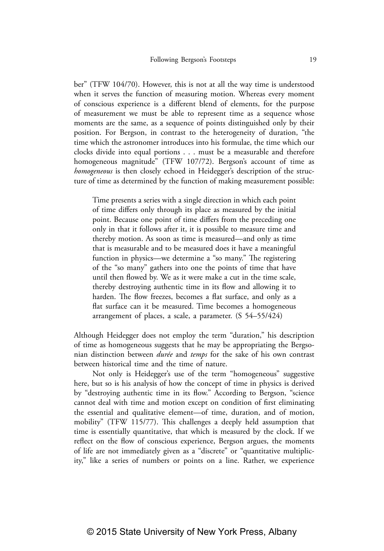ber" (TFW 104/70). However, this is not at all the way time is understood when it serves the function of measuring motion. Whereas every moment of conscious experience is a different blend of elements, for the purpose of measurement we must be able to represent time as a sequence whose moments are the same, as a sequence of points distinguished only by their position. For Bergson, in contrast to the heterogeneity of duration, "the time which the astronomer introduces into his formulae, the time which our clocks divide into equal portions . . . must be a measurable and therefore homogeneous magnitude" (TFW 107/72). Bergson's account of time as *homogeneous* is then closely echoed in Heidegger's description of the structure of time as determined by the function of making measurement possible:

Time presents a series with a single direction in which each point of time differs only through its place as measured by the initial point. Because one point of time differs from the preceding one only in that it follows after it, it is possible to measure time and thereby motion. As soon as time is measured—and only as time that is measurable and to be measured does it have a meaningful function in physics—we determine a "so many." The registering of the "so many" gathers into one the points of time that have until then flowed by. We as it were make a cut in the time scale, thereby destroying authentic time in its flow and allowing it to harden. The flow freezes, becomes a flat surface, and only as a flat surface can it be measured. Time becomes a homogeneous arrangement of places, a scale, a parameter. (S 54–55/424)

Although Heidegger does not employ the term "duration," his description of time as homogeneous suggests that he may be appropriating the Bergsonian distinction between *durée* and *temps* for the sake of his own contrast between historical time and the time of nature.

Not only is Heidegger's use of the term "homogeneous" suggestive here, but so is his analysis of how the concept of time in physics is derived by "destroying authentic time in its flow." According to Bergson, "science cannot deal with time and motion except on condition of first eliminating the essential and qualitative element—of time, duration, and of motion, mobility" (TFW 115/77). This challenges a deeply held assumption that time is essentially quantitative, that which is measured by the clock. If we reflect on the flow of conscious experience, Bergson argues, the moments of life are not immediately given as a "discrete" or "quantitative multiplicity," like a series of numbers or points on a line. Rather, we experience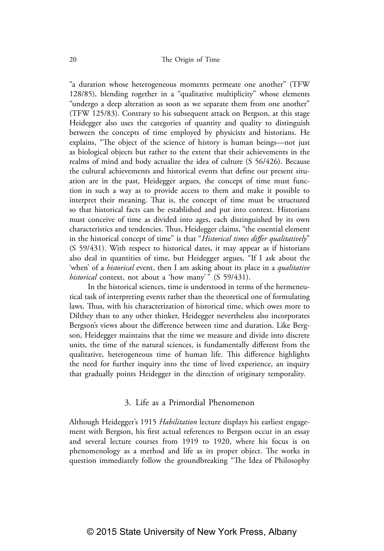"a duration whose heterogeneous moments permeate one another" (TFW 128/85), blending together in a "qualitative multiplicity" whose elements "undergo a deep alteration as soon as we separate them from one another" (TFW 125/83). Contrary to his subsequent attack on Bergson, at this stage Heidegger also uses the categories of quantity and quality to distinguish between the concepts of time employed by physicists and historians. He explains, "The object of the science of history is human beings—not just as biological objects but rather to the extent that their achievements in the realms of mind and body actualize the idea of culture (S 56/426). Because the cultural achievements and historical events that define our present situation are in the past, Heidegger argues, the concept of time must function in such a way as to provide access to them and make it possible to interpret their meaning. That is, the concept of time must be structured so that historical facts can be established and put into context. Historians must conceive of time as divided into ages, each distinguished by its own characteristics and tendencies. Thus, Heidegger claims, "the essential element in the historical concept of time" is that "*Historical times differ qualitatively*" (S 59/431). With respect to historical dates, it may appear as if historians also deal in quantities of time, but Heidegger argues, "If I ask about the 'when' of a *historical* event, then I am asking about its place in a *qualitative historical* context, not about a 'how many'" (S 59/431).

In the historical sciences, time is understood in terms of the hermeneutical task of interpreting events rather than the theoretical one of formulating laws. Thus, with his characterization of historical time, which owes more to Dilthey than to any other thinker, Heidegger nevertheless also incorporates Bergson's views about the difference between time and duration. Like Bergson, Heidegger maintains that the time we measure and divide into discrete units, the time of the natural sciences, is fundamentally different from the qualitative, heterogeneous time of human life. This difference highlights the need for further inquiry into the time of lived experience, an inquiry that gradually points Heidegger in the direction of originary temporality.

## 3. Life as a Primordial Phenomenon

Although Heidegger's 1915 *Habilitation* lecture displays his earliest engagement with Bergson, his first actual references to Bergson occur in an essay and several lecture courses from 1919 to 1920, where his focus is on phenomenology as a method and life as its proper object. The works in question immediately follow the groundbreaking "The Idea of Philosophy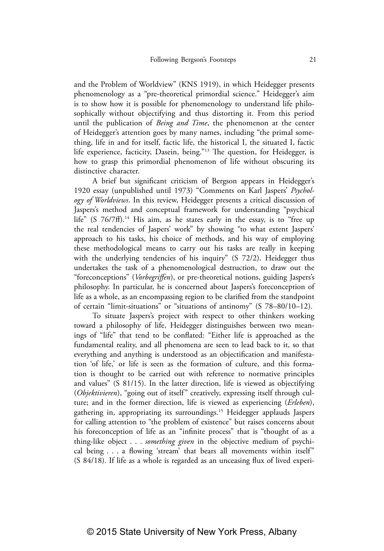and the Problem of Worldview" (KNS 1919), in which Heidegger presents phenomenology as a "pre-theoretical primordial science." Heidegger's aim is to show how it is possible for phenomenology to understand life philosophically without objectifying and thus distorting it. From this period until the publication of *Being and Time*, the phenomenon at the center of Heidegger's attention goes by many names, including "the primal something, life in and for itself, factic life, the historical I, the situated I, factic life experience, facticity, Dasein, being."13 The question, for Heidegger, is how to grasp this primordial phenomenon of life without obscuring its distinctive character.

A brief but significant criticism of Bergson appears in Heidegger's 1920 essay (unpublished until 1973) "Comments on Karl Jaspers' *Psychology of Worldviews*. In this review, Heidegger presents a critical discussion of Jaspers's method and conceptual framework for understanding "psychical life" (S  $76/7$ ff).<sup>14</sup> His aim, as he states early in the essay, is to "free up the real tendencies of Jaspers' work" by showing "to what extent Jaspers' approach to his tasks, his choice of methods, and his way of employing these methodological means to carry out his tasks are really in keeping with the underlying tendencies of his inquiry" (S 72/2). Heidegger thus undertakes the task of a phenomenological destruction, to draw out the "foreconceptions" (*Vorbegriffen*), or pre-theoretical notions, guiding Jaspers's philosophy. In particular, he is concerned about Jaspers's foreconception of life as a whole, as an encompassing region to be clarified from the standpoint of certain "limit-situations" or "situations of antinomy" (S 78–80/10–12).

To situate Jaspers's project with respect to other thinkers working toward a philosophy of life, Heidegger distinguishes between two meanings of "life" that tend to be conflated: "Either life is approached as the fundamental reality, and all phenomena are seen to lead back to it, so that everything and anything is understood as an objectification and manifestation 'of life,' or life is seen as the formation of culture, and this formation is thought to be carried out with reference to normative principles and values" (S 81/15). In the latter direction, life is viewed as objectifying (*Objektivieren*), "going out of itself" creatively, expressing itself through culture; and in the former direction, life is viewed as experiencing (*Erleben*), gathering in, appropriating its surroundings.15 Heidegger applauds Jaspers for calling attention to "the problem of existence" but raises concerns about his foreconception of life as an "infinite process" that is "thought of as a thing-like object . . . *something given* in the objective medium of psychical being . . . a flowing 'stream' that bears all movements within itself" (S 84/18). If life as a whole is regarded as an unceasing flux of lived experi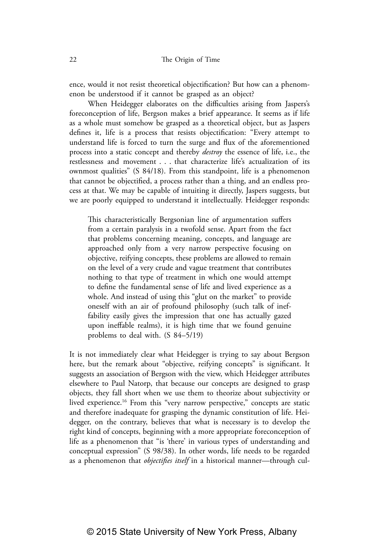ence, would it not resist theoretical objectification? But how can a phenomenon be understood if it cannot be grasped as an object?

When Heidegger elaborates on the difficulties arising from Jaspers's foreconception of life, Bergson makes a brief appearance. It seems as if life as a whole must somehow be grasped as a theoretical object, but as Jaspers defines it, life is a process that resists objectification: "Every attempt to understand life is forced to turn the surge and flux of the aforementioned process into a static concept and thereby *destroy* the essence of life, i.e., the restlessness and movement . . . that characterize life's actualization of its ownmost qualities" (S 84/18). From this standpoint, life is a phenomenon that cannot be objectified, a process rather than a thing, and an endless process at that. We may be capable of intuiting it directly, Jaspers suggests, but we are poorly equipped to understand it intellectually. Heidegger responds:

This characteristically Bergsonian line of argumentation suffers from a certain paralysis in a twofold sense. Apart from the fact that problems concerning meaning, concepts, and language are approached only from a very narrow perspective focusing on objective, reifying concepts, these problems are allowed to remain on the level of a very crude and vague treatment that contributes nothing to that type of treatment in which one would attempt to define the fundamental sense of life and lived experience as a whole. And instead of using this "glut on the market" to provide oneself with an air of profound philosophy (such talk of ineffability easily gives the impression that one has actually gazed upon ineffable realms), it is high time that we found genuine problems to deal with. (S 84–5/19)

It is not immediately clear what Heidegger is trying to say about Bergson here, but the remark about "objective, reifying concepts" is significant. It suggests an association of Bergson with the view, which Heidegger attributes elsewhere to Paul Natorp, that because our concepts are designed to grasp objects, they fall short when we use them to theorize about subjectivity or lived experience.<sup>16</sup> From this "very narrow perspective," concepts are static and therefore inadequate for grasping the dynamic constitution of life. Heidegger, on the contrary, believes that what is necessary is to develop the right kind of concepts, beginning with a more appropriate foreconception of life as a phenomenon that "is 'there' in various types of understanding and conceptual expression" (S 98/38). In other words, life needs to be regarded as a phenomenon that *objectifies itself* in a historical manner—through cul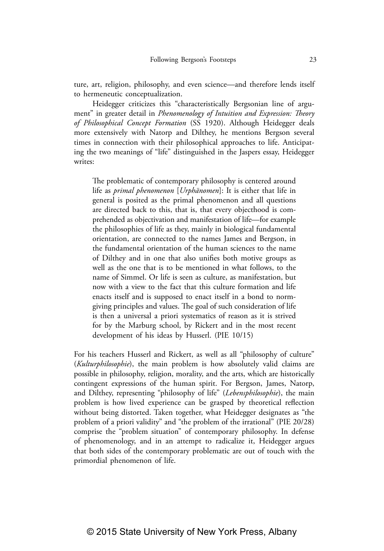ture, art, religion, philosophy, and even science—and therefore lends itself to hermeneutic conceptualization.

Heidegger criticizes this "characteristically Bergsonian line of argument" in greater detail in *Phenomenology of Intuition and Expression: Theory of Philosophical Concept Formation* (SS 1920). Although Heidegger deals more extensively with Natorp and Dilthey, he mentions Bergson several times in connection with their philosophical approaches to life. Anticipating the two meanings of "life" distinguished in the Jaspers essay, Heidegger writes:

The problematic of contemporary philosophy is centered around life as *primal phenomenon* [*Urphänomen*]: It is either that life in general is posited as the primal phenomenon and all questions are directed back to this, that is, that every objecthood is comprehended as objectivation and manifestation of life—for example the philosophies of life as they, mainly in biological fundamental orientation, are connected to the names James and Bergson, in the fundamental orientation of the human sciences to the name of Dilthey and in one that also unifies both motive groups as well as the one that is to be mentioned in what follows, to the name of Simmel. Or life is seen as culture, as manifestation, but now with a view to the fact that this culture formation and life enacts itself and is supposed to enact itself in a bond to normgiving principles and values. The goal of such consideration of life is then a universal a priori systematics of reason as it is strived for by the Marburg school, by Rickert and in the most recent development of his ideas by Husserl. (PIE 10/15)

For his teachers Husserl and Rickert, as well as all "philosophy of culture" (*Kulturphilosophie*), the main problem is how absolutely valid claims are possible in philosophy, religion, morality, and the arts, which are historically contingent expressions of the human spirit. For Bergson, James, Natorp, and Dilthey, representing "philosophy of life" (*Lebensphilosophie*), the main problem is how lived experience can be grasped by theoretical reflection without being distorted. Taken together, what Heidegger designates as "the problem of a priori validity" and "the problem of the irrational" (PIE 20/28) comprise the "problem situation" of contemporary philosophy. In defense of phenomenology, and in an attempt to radicalize it, Heidegger argues that both sides of the contemporary problematic are out of touch with the primordial phenomenon of life.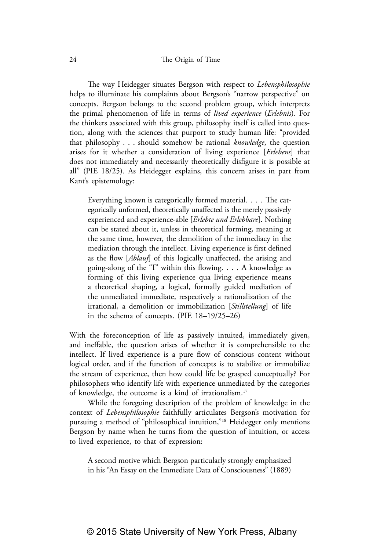#### 24 The Origin of Time

The way Heidegger situates Bergson with respect to *Lebensphilosophie* helps to illuminate his complaints about Bergson's "narrow perspective" on concepts. Bergson belongs to the second problem group, which interprets the primal phenomenon of life in terms of *lived experience* (*Erlebnis*). For the thinkers associated with this group, philosophy itself is called into question, along with the sciences that purport to study human life: "provided that philosophy . . . should somehow be rational *knowledge*, the question arises for it whether a consideration of living experience [*Erlebens*] that does not immediately and necessarily theoretically disfigure it is possible at all" (PIE 18/25). As Heidegger explains, this concern arises in part from Kant's epistemology:

Everything known is categorically formed material. . . . The categorically unformed, theoretically unaffected is the merely passively experienced and experience-able [*Erlebte und Erlebbare*]. Nothing can be stated about it, unless in theoretical forming, meaning at the same time, however, the demolition of the immediacy in the mediation through the intellect. Living experience is first defined as the flow [*Ablauf*] of this logically unaffected, the arising and going-along of the "I" within this flowing. . . . A knowledge as forming of this living experience qua living experience means a theoretical shaping, a logical, formally guided mediation of the unmediated immediate, respectively a rationalization of the irrational, a demolition or immobilization [*Stillstellung*] of life in the schema of concepts. (PIE 18–19/25–26)

With the foreconception of life as passively intuited, immediately given, and ineffable, the question arises of whether it is comprehensible to the intellect. If lived experience is a pure flow of conscious content without logical order, and if the function of concepts is to stabilize or immobilize the stream of experience, then how could life be grasped conceptually? For philosophers who identify life with experience unmediated by the categories of knowledge, the outcome is a kind of irrationalism.17

While the foregoing description of the problem of knowledge in the context of *Lebensphilosophie* faithfully articulates Bergson's motivation for pursuing a method of "philosophical intuition,"<sup>18</sup> Heidegger only mentions Bergson by name when he turns from the question of intuition, or access to lived experience, to that of expression:

A second motive which Bergson particularly strongly emphasized in his "An Essay on the Immediate Data of Consciousness" (1889)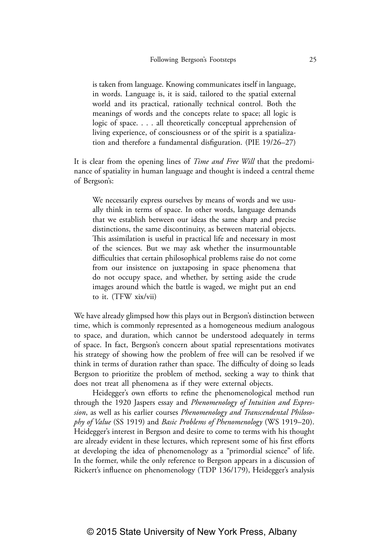is taken from language. Knowing communicates itself in language, in words. Language is, it is said, tailored to the spatial external world and its practical, rationally technical control. Both the meanings of words and the concepts relate to space; all logic is logic of space. . . . all theoretically conceptual apprehension of living experience, of consciousness or of the spirit is a spatialization and therefore a fundamental disfiguration. (PIE 19/26–27)

It is clear from the opening lines of *Time and Free Will* that the predominance of spatiality in human language and thought is indeed a central theme of Bergson's:

We necessarily express ourselves by means of words and we usually think in terms of space. In other words, language demands that we establish between our ideas the same sharp and precise distinctions, the same discontinuity, as between material objects. This assimilation is useful in practical life and necessary in most of the sciences. But we may ask whether the insurmountable difficulties that certain philosophical problems raise do not come from our insistence on juxtaposing in space phenomena that do not occupy space, and whether, by setting aside the crude images around which the battle is waged, we might put an end to it. (TFW xix/vii)

We have already glimpsed how this plays out in Bergson's distinction between time, which is commonly represented as a homogeneous medium analogous to space, and duration, which cannot be understood adequately in terms of space. In fact, Bergson's concern about spatial representations motivates his strategy of showing how the problem of free will can be resolved if we think in terms of duration rather than space. The difficulty of doing so leads Bergson to prioritize the problem of method, seeking a way to think that does not treat all phenomena as if they were external objects.

Heidegger's own efforts to refine the phenomenological method run through the 1920 Jaspers essay and *Phenomenology of Intuition and Expression*, as well as his earlier courses *Phenomenology and Transcendental Philosophy of Value* (SS 1919) and *Basic Problems of Phenomenology* (WS 1919–20). Heidegger's interest in Bergson and desire to come to terms with his thought are already evident in these lectures, which represent some of his first efforts at developing the idea of phenomenology as a "primordial science" of life. In the former, while the only reference to Bergson appears in a discussion of Rickert's influence on phenomenology (TDP 136/179), Heidegger's analysis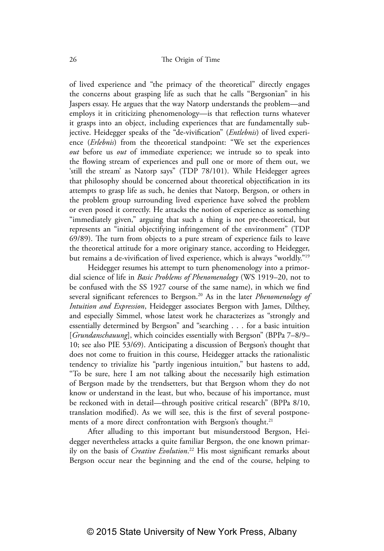of lived experience and "the primacy of the theoretical" directly engages the concerns about grasping life as such that he calls "Bergsonian" in his Jaspers essay. He argues that the way Natorp understands the problem—and employs it in criticizing phenomenology—is that reflection turns whatever it grasps into an object, including experiences that are fundamentally subjective. Heidegger speaks of the "de-vivification" (*Entlebnis*) of lived experience (*Erlebnis*) from the theoretical standpoint: "We set the experiences *out* before us *out* of immediate experience; we intrude so to speak into the flowing stream of experiences and pull one or more of them out, we 'still the stream' as Natorp says" (TDP 78/101). While Heidegger agrees that philosophy should be concerned about theoretical objectification in its attempts to grasp life as such, he denies that Natorp, Bergson, or others in the problem group surrounding lived experience have solved the problem or even posed it correctly. He attacks the notion of experience as something "immediately given," arguing that such a thing is not pre-theoretical, but represents an "initial objectifying infringement of the environment" (TDP 69/89). The turn from objects to a pure stream of experience fails to leave the theoretical attitude for a more originary stance, according to Heidegger, but remains a de-vivification of lived experience, which is always "worldly."19

Heidegger resumes his attempt to turn phenomenology into a primordial science of life in *Basic Problems of Phenomenology* (WS 1919–20, not to be confused with the SS 1927 course of the same name), in which we find several significant references to Bergson.20 As in the later *Phenomenology of Intuition and Expression*, Heidegger associates Bergson with James, Dilthey, and especially Simmel, whose latest work he characterizes as "strongly and essentially determined by Bergson" and "searching . . . for a basic intuition [*Grundanschauung*], which coincides essentially with Bergson" (BPPa 7–8/9– 10; see also PIE 53/69). Anticipating a discussion of Bergson's thought that does not come to fruition in this course, Heidegger attacks the rationalistic tendency to trivialize his "partly ingenious intuition," but hastens to add, "To be sure, here I am not talking about the necessarily high estimation of Bergson made by the trendsetters, but that Bergson whom they do not know or understand in the least, but who, because of his importance, must be reckoned with in detail—through positive critical research" (BPPa 8/10, translation modified). As we will see, this is the first of several postponements of a more direct confrontation with Bergson's thought.<sup>21</sup>

After alluding to this important but misunderstood Bergson, Heidegger nevertheless attacks a quite familiar Bergson, the one known primarily on the basis of *Creative Evolution*. 22 His most significant remarks about Bergson occur near the beginning and the end of the course, helping to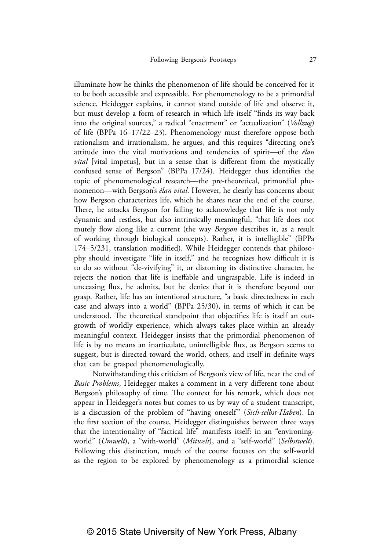illuminate how he thinks the phenomenon of life should be conceived for it to be both accessible and expressible. For phenomenology to be a primordial science, Heidegger explains, it cannot stand outside of life and observe it, but must develop a form of research in which life itself "finds its way back into the original sources," a radical "enactment" or "actualization" (*Vollzug*) of life (BPPa 16–17/22–23). Phenomenology must therefore oppose both rationalism and irrationalism, he argues, and this requires "directing one's attitude into the vital motivations and tendencies of spirit—of the *élan vital* [vital impetus], but in a sense that is different from the mystically confused sense of Bergson" (BPPa 17/24). Heidegger thus identifies the topic of phenomenological research—the pre-theoretical, primordial phenomenon—with Bergson's *élan vital*. However, he clearly has concerns about how Bergson characterizes life, which he shares near the end of the course. There, he attacks Bergson for failing to acknowledge that life is not only dynamic and restless, but also intrinsically meaningful, "that life does not mutely flow along like a current (the way *Bergson* describes it, as a result of working through biological concepts). Rather, it is intelligible" (BPPa 174–5/231, translation modified). While Heidegger contends that philosophy should investigate "life in itself," and he recognizes how difficult it is to do so without "de-vivifying" it, or distorting its distinctive character, he rejects the notion that life is ineffable and ungraspable. Life is indeed in unceasing flux, he admits, but he denies that it is therefore beyond our grasp. Rather, life has an intentional structure, "a basic directedness in each case and always into a world" (BPPa 25/30), in terms of which it can be understood. The theoretical standpoint that objectifies life is itself an outgrowth of worldly experience, which always takes place within an already meaningful context. Heidegger insists that the primordial phenomenon of life is by no means an inarticulate, unintelligible flux, as Bergson seems to suggest, but is directed toward the world, others, and itself in definite ways that can be grasped phenomenologically.

Notwithstanding this criticism of Bergson's view of life, near the end of *Basic Problems*, Heidegger makes a comment in a very different tone about Bergson's philosophy of time. The context for his remark, which does not appear in Heidegger's notes but comes to us by way of a student transcript, is a discussion of the problem of "having oneself" (*Sich-selbst-Haben*). In the first section of the course, Heidegger distinguishes between three ways that the intentionality of "factical life" manifests itself: in an "environingworld" (*Umwelt*), a "with-world" (*Mitwelt*), and a "self-world" (*Selbstwelt*). Following this distinction, much of the course focuses on the self-world as the region to be explored by phenomenology as a primordial science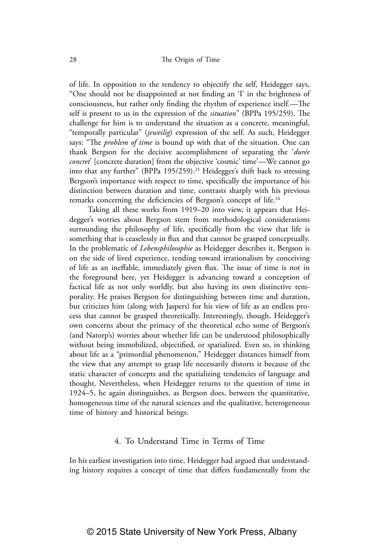of life. In opposition to the tendency to objectify the self, Heidegger says, "One should not be disappointed at not finding an 'I' in the brightness of consciousness, but rather only finding the rhythm of experience itself.—The self is present to us in the expression of the *situation*" (BPPa 195/259). The challenge for him is to understand the situation as a concrete, meaningful, "temporally particular" (*jeweilig*) expression of the self. As such, Heidegger says: "The *problem of time* is bound up with that of the situation. One can thank Bergson for the decisive accomplishment of separating the '*durée concret*' [concrete duration] from the objective 'cosmic' time'—We cannot go into that any further" (BPPa 195/259).<sup>23</sup> Heidegger's shift back to stressing Bergson's importance with respect to time, specifically the importance of his distinction between duration and time, contrasts sharply with his previous remarks concerning the deficiencies of Bergson's concept of life.<sup>24</sup>

Taking all these works from 1919–20 into view, it appears that Heidegger's worries about Bergson stem from methodological considerations surrounding the philosophy of life, specifically from the view that life is something that is ceaselessly in flux and that cannot be grasped conceptually. In the problematic of *Lebensphilosophie* as Heidegger describes it, Bergson is on the side of lived experience, tending toward irrationalism by conceiving of life as an ineffable, immediately given flux. The issue of time is not in the foreground here, yet Heidegger is advancing toward a conception of factical life as not only worldly, but also having its own distinctive temporality. He praises Bergson for distinguishing between time and duration, but criticizes him (along with Jaspers) for his view of life as an endless process that cannot be grasped theoretically. Interestingly, though, Heidegger's own concerns about the primacy of the theoretical echo some of Bergson's (and Natorp's) worries about whether life can be understood philosophically without being immobilized, objectified, or spatialized. Even so, in thinking about life as a "primordial phenomenon," Heidegger distances himself from the view that any attempt to grasp life necessarily distorts it because of the static character of concepts and the spatializing tendencies of language and thought. Nevertheless, when Heidegger returns to the question of time in 1924–5, he again distinguishes, as Bergson does, between the quantitative, homogeneous time of the natural sciences and the qualitative, heterogeneous time of history and historical beings.

## 4. To Understand Time in Terms of Time

In his earliest investigation into time, Heidegger had argued that understanding history requires a concept of time that differs fundamentally from the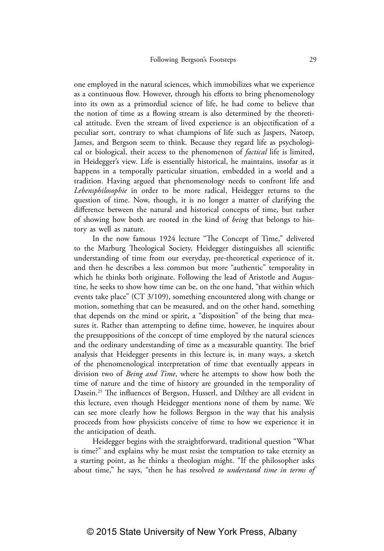one employed in the natural sciences, which immobilizes what we experience as a continuous flow. However, through his efforts to bring phenomenology into its own as a primordial science of life, he had come to believe that the notion of time as a flowing stream is also determined by the theoretical attitude. Even the stream of lived experience is an objectification of a peculiar sort, contrary to what champions of life such as Jaspers, Natorp, James, and Bergson seem to think. Because they regard life as psychological or biological, their access to the phenomenon of *factical* life is limited, in Heidegger's view. Life is essentially historical, he maintains, insofar as it happens in a temporally particular situation, embedded in a world and a tradition. Having argued that phenomenology needs to confront life and *Lebensphilosophie* in order to be more radical, Heidegger returns to the question of time. Now, though, it is no longer a matter of clarifying the difference between the natural and historical concepts of time, but rather of showing how both are rooted in the kind of *being* that belongs to history as well as nature.

In the now famous 1924 lecture "The Concept of Time," delivered to the Marburg Theological Society, Heidegger distinguishes all scientific understanding of time from our everyday, pre-theoretical experience of it, and then he describes a less common but more "authentic" temporality in which he thinks both originate. Following the lead of Aristotle and Augustine, he seeks to show how time can be, on the one hand, "that within which events take place" (CT 3/109), something encountered along with change or motion, something that can be measured, and on the other hand, something that depends on the mind or spirit, a "disposition" of the being that measures it. Rather than attempting to define time, however, he inquires about the presuppositions of the concept of time employed by the natural sciences and the ordinary understanding of time as a measurable quantity. The brief analysis that Heidegger presents in this lecture is, in many ways, a sketch of the phenomenological interpretation of time that eventually appears in division two of *Being and Time*, where he attempts to show how both the time of nature and the time of history are grounded in the temporality of Dasein.<sup>25</sup> The influences of Bergson, Husserl, and Dilthey are all evident in this lecture, even though Heidegger mentions none of them by name. We can see more clearly how he follows Bergson in the way that his analysis proceeds from how physicists conceive of time to how we experience it in the anticipation of death.

Heidegger begins with the straightforward, traditional question "What is time?" and explains why he must resist the temptation to take eternity as a starting point, as he thinks a theologian might. "If the philosopher asks about time," he says, "then he has resolved *to understand time in terms of*